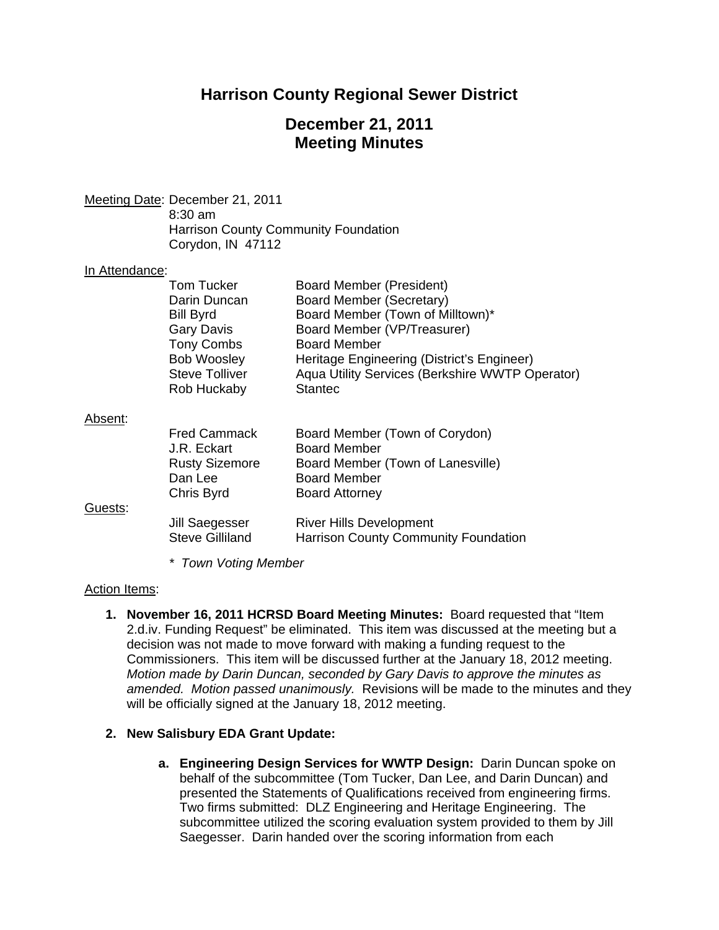# **Harrison County Regional Sewer District**

## **December 21, 2011 Meeting Minutes**

Meeting Date: December 21, 2011

 8:30 am Harrison County Community Foundation Corydon, IN 47112

#### In Attendance:

|         | Tom Tucker             | <b>Board Member (President)</b>                 |
|---------|------------------------|-------------------------------------------------|
|         | Darin Duncan           | Board Member (Secretary)                        |
|         | <b>Bill Byrd</b>       | Board Member (Town of Milltown)*                |
|         | <b>Gary Davis</b>      | Board Member (VP/Treasurer)                     |
|         | <b>Tony Combs</b>      | <b>Board Member</b>                             |
|         | <b>Bob Woosley</b>     | Heritage Engineering (District's Engineer)      |
|         | Steve Tolliver         | Aqua Utility Services (Berkshire WWTP Operator) |
|         | Rob Huckaby            | <b>Stantec</b>                                  |
| Absent: |                        |                                                 |
|         | <b>Fred Cammack</b>    | Board Member (Town of Corydon)                  |
|         | J.R. Eckart            | <b>Board Member</b>                             |
|         | <b>Rusty Sizemore</b>  | Board Member (Town of Lanesville)               |
|         | Dan Lee                | <b>Board Member</b>                             |
|         | Chris Byrd             | <b>Board Attorney</b>                           |
| Guests: |                        |                                                 |
|         | Jill Saegesser         | <b>River Hills Development</b>                  |
|         | <b>Steve Gilliland</b> | <b>Harrison County Community Foundation</b>     |

*\* Town Voting Member* 

#### Action Items:

**1. November 16, 2011 HCRSD Board Meeting Minutes:** Board requested that "Item 2.d.iv. Funding Request" be eliminated. This item was discussed at the meeting but a decision was not made to move forward with making a funding request to the Commissioners. This item will be discussed further at the January 18, 2012 meeting. *Motion made by Darin Duncan, seconded by Gary Davis to approve the minutes as amended. Motion passed unanimously.* Revisions will be made to the minutes and they will be officially signed at the January 18, 2012 meeting.

## **2. New Salisbury EDA Grant Update:**

**a. Engineering Design Services for WWTP Design:** Darin Duncan spoke on behalf of the subcommittee (Tom Tucker, Dan Lee, and Darin Duncan) and presented the Statements of Qualifications received from engineering firms. Two firms submitted: DLZ Engineering and Heritage Engineering. The subcommittee utilized the scoring evaluation system provided to them by Jill Saegesser. Darin handed over the scoring information from each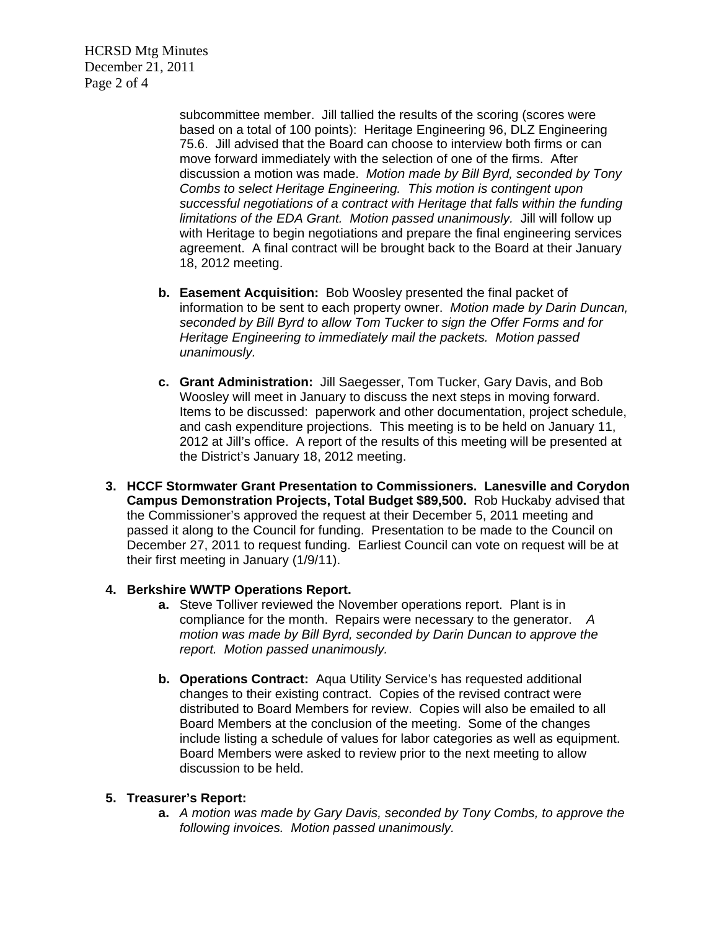HCRSD Mtg Minutes December 21, 2011 Page 2 of 4

> subcommittee member. Jill tallied the results of the scoring (scores were based on a total of 100 points): Heritage Engineering 96, DLZ Engineering 75.6. Jill advised that the Board can choose to interview both firms or can move forward immediately with the selection of one of the firms. After discussion a motion was made. *Motion made by Bill Byrd, seconded by Tony Combs to select Heritage Engineering. This motion is contingent upon successful negotiations of a contract with Heritage that falls within the funding limitations of the EDA Grant. Motion passed unanimously.* Jill will follow up with Heritage to begin negotiations and prepare the final engineering services agreement. A final contract will be brought back to the Board at their January 18, 2012 meeting.

- **b. Easement Acquisition:** Bob Woosley presented the final packet of information to be sent to each property owner. *Motion made by Darin Duncan, seconded by Bill Byrd to allow Tom Tucker to sign the Offer Forms and for Heritage Engineering to immediately mail the packets. Motion passed unanimously.*
- **c. Grant Administration:** Jill Saegesser, Tom Tucker, Gary Davis, and Bob Woosley will meet in January to discuss the next steps in moving forward. Items to be discussed: paperwork and other documentation, project schedule, and cash expenditure projections. This meeting is to be held on January 11, 2012 at Jill's office. A report of the results of this meeting will be presented at the District's January 18, 2012 meeting.
- **3. HCCF Stormwater Grant Presentation to Commissioners. Lanesville and Corydon Campus Demonstration Projects, Total Budget \$89,500.** Rob Huckaby advised that the Commissioner's approved the request at their December 5, 2011 meeting and passed it along to the Council for funding. Presentation to be made to the Council on December 27, 2011 to request funding. Earliest Council can vote on request will be at their first meeting in January (1/9/11).

## **4. Berkshire WWTP Operations Report.**

- **a.** Steve Tolliver reviewed the November operations report. Plant is in compliance for the month. Repairs were necessary to the generator. *A motion was made by Bill Byrd, seconded by Darin Duncan to approve the report. Motion passed unanimously.*
- **b. Operations Contract:** Aqua Utility Service's has requested additional changes to their existing contract. Copies of the revised contract were distributed to Board Members for review. Copies will also be emailed to all Board Members at the conclusion of the meeting. Some of the changes include listing a schedule of values for labor categories as well as equipment. Board Members were asked to review prior to the next meeting to allow discussion to be held.

#### **5. Treasurer's Report:**

**a.** *A motion was made by Gary Davis, seconded by Tony Combs, to approve the following invoices. Motion passed unanimously.*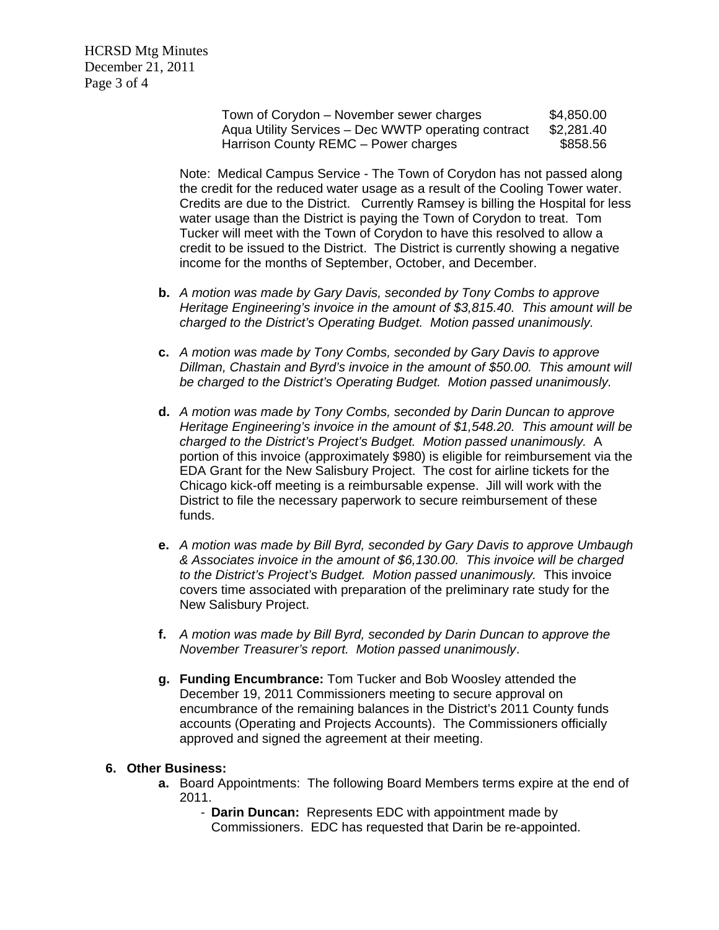HCRSD Mtg Minutes December 21, 2011 Page 3 of 4

> Town of Corydon – November sewer charges \$4,850.00 Aqua Utility Services – Dec WWTP operating contract \$2,281.40 Harrison County REMC – Power charges \$858.56

Note: Medical Campus Service - The Town of Corydon has not passed along the credit for the reduced water usage as a result of the Cooling Tower water. Credits are due to the District. Currently Ramsey is billing the Hospital for less water usage than the District is paying the Town of Corydon to treat. Tom Tucker will meet with the Town of Corydon to have this resolved to allow a credit to be issued to the District. The District is currently showing a negative income for the months of September, October, and December.

- **b.** *A motion was made by Gary Davis, seconded by Tony Combs to approve Heritage Engineering's invoice in the amount of \$3,815.40. This amount will be charged to the District's Operating Budget. Motion passed unanimously.*
- **c.** *A motion was made by Tony Combs, seconded by Gary Davis to approve Dillman, Chastain and Byrd's invoice in the amount of \$50.00. This amount will be charged to the District's Operating Budget. Motion passed unanimously.*
- **d.** *A motion was made by Tony Combs, seconded by Darin Duncan to approve Heritage Engineering's invoice in the amount of \$1,548.20. This amount will be charged to the District's Project's Budget. Motion passed unanimously.* A portion of this invoice (approximately \$980) is eligible for reimbursement via the EDA Grant for the New Salisbury Project. The cost for airline tickets for the Chicago kick-off meeting is a reimbursable expense. Jill will work with the District to file the necessary paperwork to secure reimbursement of these funds.
- **e.** *A motion was made by Bill Byrd, seconded by Gary Davis to approve Umbaugh & Associates invoice in the amount of \$6,130.00. This invoice will be charged to the District's Project's Budget. Motion passed unanimously.* This invoice covers time associated with preparation of the preliminary rate study for the New Salisbury Project.
- **f.** *A motion was made by Bill Byrd, seconded by Darin Duncan to approve the November Treasurer's report. Motion passed unanimously*.
- **g. Funding Encumbrance:** Tom Tucker and Bob Woosley attended the December 19, 2011 Commissioners meeting to secure approval on encumbrance of the remaining balances in the District's 2011 County funds accounts (Operating and Projects Accounts). The Commissioners officially approved and signed the agreement at their meeting.

#### **6. Other Business:**

- **a.** Board Appointments: The following Board Members terms expire at the end of 2011.
	- **Darin Duncan:** Represents EDC with appointment made by Commissioners. EDC has requested that Darin be re-appointed.